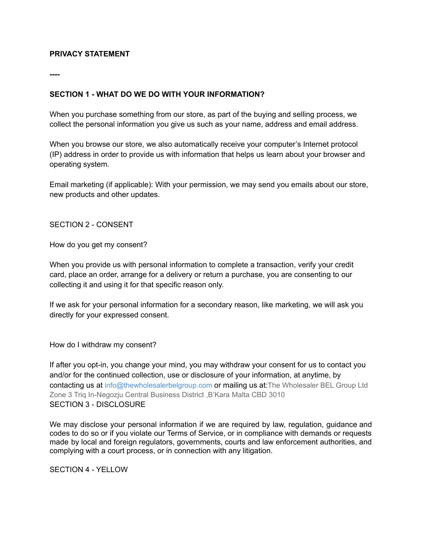## **PRIVACY STATEMENT**

**----**

## **SECTION 1 - WHAT DO WE DO WITH YOUR INFORMATION?**

When you purchase something from our store, as part of the buying and selling process, we collect the personal information you give us such as your name, address and email address.

When you browse our store, we also automatically receive your computer's Internet protocol (IP) address in order to provide us with information that helps us learn about your browser and operating system.

Email marketing (if applicable): With your permission, we may send you emails about our store, new products and other updates.

SECTION 2 - CONSENT

How do you get my consent?

When you provide us with personal information to complete a transaction, verify your credit card, place an order, arrange for a delivery or return a purchase, you are consenting to our collecting it and using it for that specific reason only.

If we ask for your personal information for a secondary reason, like marketing, we will ask you directly for your expressed consent.

How do I withdraw my consent?

If after you opt-in, you change your mind, you may withdraw your consent for us to contact you and/or for the continued collection, use or disclosure of your information, at anytime, by contacting us at info@thewholesalerbelgroup.com or mailing us at:The Wholesaler BEL Group Ltd Zone 3 Triq In-Negozju Central Business District ,B'Kara Malta CBD 3010 SECTION 3 - DISCLOSURE

We may disclose your personal information if we are required by law, regulation, guidance and codes to do so or if you violate our Terms of Service, or in compliance with demands or requests made by local and foreign regulators, governments, courts and law enforcement authorities, and complying with a court process, or in connection with any litigation.

SECTION 4 - YELLOW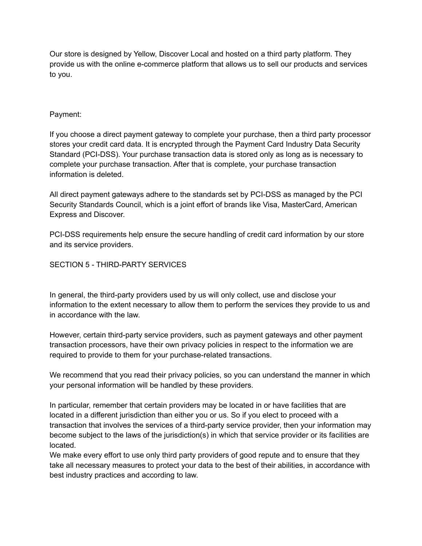Our store is designed by Yellow, Discover Local and hosted on a third party platform. They provide us with the online e-commerce platform that allows us to sell our products and services to you.

# Payment:

If you choose a direct payment gateway to complete your purchase, then a third party processor stores your credit card data. It is encrypted through the Payment Card Industry Data Security Standard (PCI-DSS). Your purchase transaction data is stored only as long as is necessary to complete your purchase transaction. After that is complete, your purchase transaction information is deleted.

All direct payment gateways adhere to the standards set by PCI-DSS as managed by the PCI Security Standards Council, which is a joint effort of brands like Visa, MasterCard, American Express and Discover.

PCI-DSS requirements help ensure the secure handling of credit card information by our store and its service providers.

## SECTION 5 - THIRD-PARTY SERVICES

In general, the third-party providers used by us will only collect, use and disclose your information to the extent necessary to allow them to perform the services they provide to us and in accordance with the law.

However, certain third-party service providers, such as payment gateways and other payment transaction processors, have their own privacy policies in respect to the information we are required to provide to them for your purchase-related transactions.

We recommend that you read their privacy policies, so you can understand the manner in which your personal information will be handled by these providers.

In particular, remember that certain providers may be located in or have facilities that are located in a different jurisdiction than either you or us. So if you elect to proceed with a transaction that involves the services of a third-party service provider, then your information may become subject to the laws of the jurisdiction(s) in which that service provider or its facilities are located.

We make every effort to use only third party providers of good repute and to ensure that they take all necessary measures to protect your data to the best of their abilities, in accordance with best industry practices and according to law.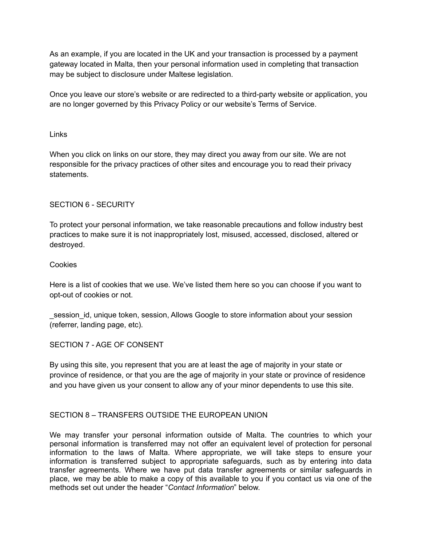As an example, if you are located in the UK and your transaction is processed by a payment gateway located in Malta, then your personal information used in completing that transaction may be subject to disclosure under Maltese legislation.

Once you leave our store's website or are redirected to a third-party website or application, you are no longer governed by this Privacy Policy or our website's Terms of Service.

#### Links

When you click on links on our store, they may direct you away from our site. We are not responsible for the privacy practices of other sites and encourage you to read their privacy statements.

## SECTION 6 - SECURITY

To protect your personal information, we take reasonable precautions and follow industry best practices to make sure it is not inappropriately lost, misused, accessed, disclosed, altered or destroyed.

#### Cookies

Here is a list of cookies that we use. We've listed them here so you can choose if you want to opt-out of cookies or not.

\_session\_id, unique token, session, Allows Google to store information about your session (referrer, landing page, etc).

## SECTION 7 - AGE OF CONSENT

By using this site, you represent that you are at least the age of majority in your state or province of residence, or that you are the age of majority in your state or province of residence and you have given us your consent to allow any of your minor dependents to use this site.

## SECTION 8 – TRANSFERS OUTSIDE THE EUROPEAN UNION

We may transfer your personal information outside of Malta. The countries to which your personal information is transferred may not offer an equivalent level of protection for personal information to the laws of Malta. Where appropriate, we will take steps to ensure your information is transferred subject to appropriate safeguards, such as by entering into data transfer agreements. Where we have put data transfer agreements or similar safeguards in place, we may be able to make a copy of this available to you if you contact us via one of the methods set out under the header "*Contact Information*" below.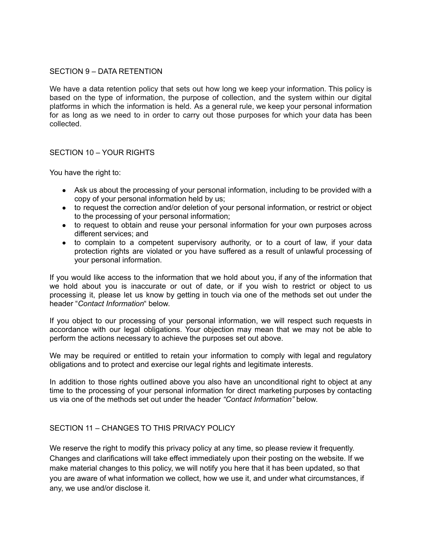#### SECTION 9 – DATA RETENTION

We have a data retention policy that sets out how long we keep your information. This policy is based on the type of information, the purpose of collection, and the system within our digital platforms in which the information is held. As a general rule, we keep your personal information for as long as we need to in order to carry out those purposes for which your data has been collected.

## SECTION 10 – YOUR RIGHTS

You have the right to:

- Ask us about the processing of your personal information, including to be provided with a copy of your personal information held by us;
- to request the correction and/or deletion of your personal information, or restrict or object to the processing of your personal information;
- to request to obtain and reuse your personal information for your own purposes across different services; and
- to complain to a competent supervisory authority, or to a court of law, if your data protection rights are violated or you have suffered as a result of unlawful processing of your personal information.

If you would like access to the information that we hold about you, if any of the information that we hold about you is inaccurate or out of date, or if you wish to restrict or object to us processing it, please let us know by getting in touch via one of the methods set out under the header "*Contact Information*" below.

If you object to our processing of your personal information, we will respect such requests in accordance with our legal obligations. Your objection may mean that we may not be able to perform the actions necessary to achieve the purposes set out above.

We may be required or entitled to retain your information to comply with legal and regulatory obligations and to protect and exercise our legal rights and legitimate interests.

In addition to those rights outlined above you also have an unconditional right to object at any time to the processing of your personal information for direct marketing purposes by contacting us via one of the methods set out under the header *"Contact Information"* below.

## SECTION 11 – CHANGES TO THIS PRIVACY POLICY

We reserve the right to modify this privacy policy at any time, so please review it frequently. Changes and clarifications will take effect immediately upon their posting on the website. If we make material changes to this policy, we will notify you here that it has been updated, so that you are aware of what information we collect, how we use it, and under what circumstances, if any, we use and/or disclose it.